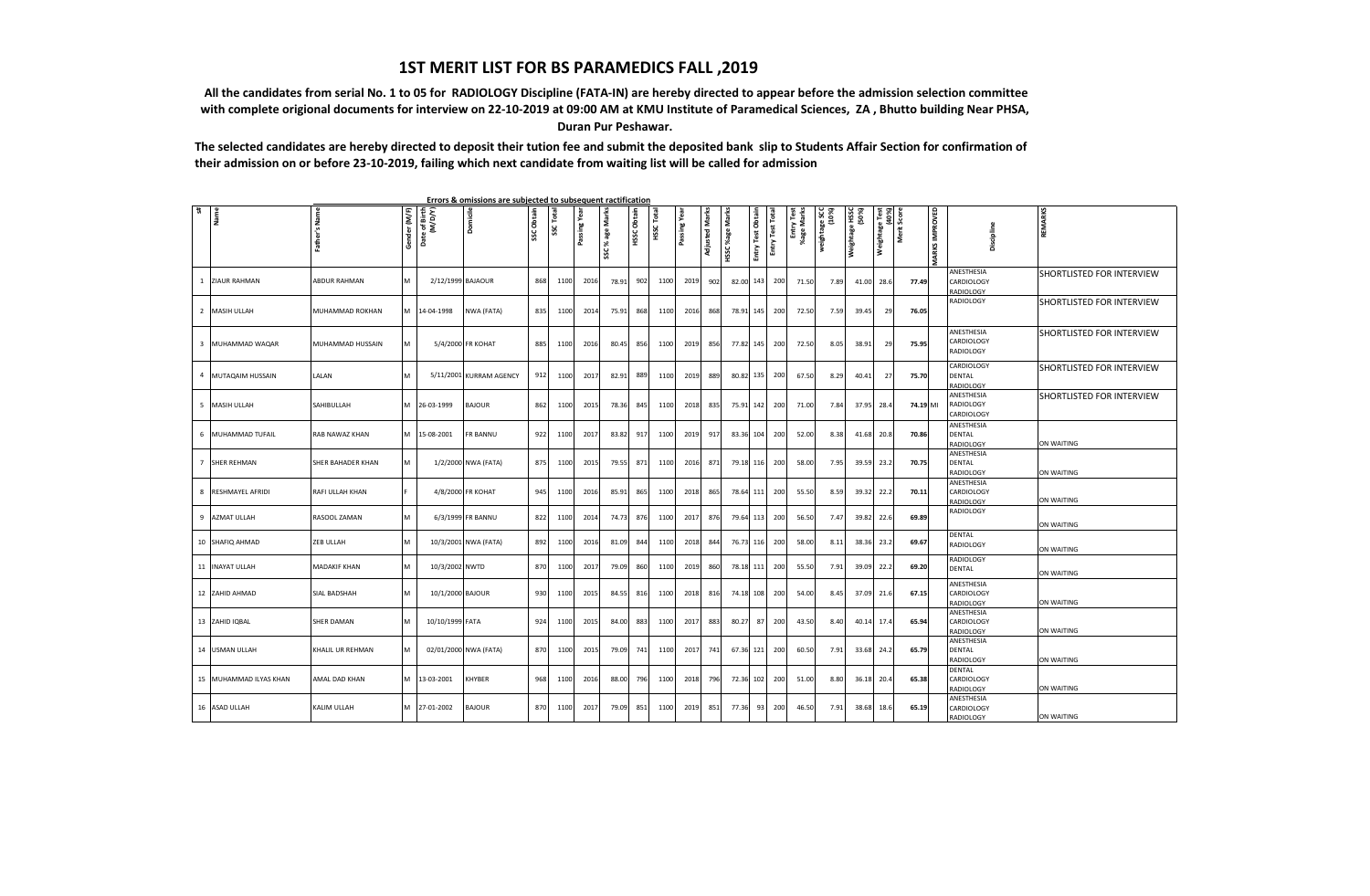## **1ST MERIT LIST FOR BS PARAMEDICS FALL ,2019**

 **All the candidates from serial No. 1 to 05 for RADIOLOGY Discipline (FATA-IN) are hereby directed to appear before the admission selection committee with complete origional documents for interview on 22-10-2019 at 09:00 AM at KMU Institute of Paramedical Sciences, ZA , Bhutto building Near PHSA, Duran Pur Peshawar.**

**The selected candidates are hereby directed to deposit their tution fee and submit the deposited bank slip to Students Affair Section for confirmation of their admission on or before 23-10-2019, failing which next candidate from waiting list will be called for admission**

| # | Namel                  | Father's Name       | Gender (M/F) | Date of Birth<br>(M/D/Y) | Domicile                | SSC Obtain | SSC Total | Passing Yea | SSC % age Marks | <b>HSSC Obtain</b> | HSSC Total | Passing Yea | <b>Adjusted Marks</b> | <b>HSSC %age Marks</b> | Obtain     | Entry Test Total | Entry Test<br>%age Marks | (10%)<br>(10%)<br>weightage | Weightage HSSC<br>(50%) | Weightage Test<br>(40%) | Sco<br>Merit | MARKS IMPROVED | Discipline                               | REMARKS                   |
|---|------------------------|---------------------|--------------|--------------------------|-------------------------|------------|-----------|-------------|-----------------|--------------------|------------|-------------|-----------------------|------------------------|------------|------------------|--------------------------|-----------------------------|-------------------------|-------------------------|--------------|----------------|------------------------------------------|---------------------------|
|   |                        |                     |              |                          |                         |            |           |             |                 |                    |            |             |                       |                        | Entry Test |                  |                          |                             |                         |                         |              |                |                                          |                           |
|   | 1 ZIAUR RAHMAN         | ABDUR RAHMAN        | M            | 2/12/1999 BAJAOUR        |                         | 868        | 1100      | 2016        | 78.91           | 902                | 1100       | 2019        | 902                   | 82.00 143              |            | 200              | 71.50                    | 7.89                        | 41.00 28.6              |                         | 77.49        |                | ANESTHESIA<br>CARDIOLOGY<br>RADIOLOGY    | SHORTLISTED FOR INTERVIEW |
|   | 2 MASIH ULLAH          | MUHAMMAD ROKHAN     |              | M 14-04-1998             | NWA (FATA)              | 835        | 1100      | 2014        | 75.91           | 868                | 1100       | 2016        | 868                   | 78.91 145              |            | 200              | 72.50                    | 7.59                        | 39.45                   | 29                      | 76.05        |                | RADIOLOGY                                | SHORTLISTED FOR INTERVIEW |
|   | 3 MUHAMMAD WAQAR       | MUHAMMAD HUSSAIN    | M            |                          | 5/4/2000 FR KOHAT       | 885        | 1100      | 2016        | 80.45           | 856                | 1100       | 2019        | 856                   | 77.82 145              |            | 200              | 72.50                    | 8.05                        | 38.91                   | 29                      | 75.95        |                | ANESTHESIA<br>CARDIOLOGY<br>RADIOLOGY    | SHORTLISTED FOR INTERVIEW |
|   | 4 MUTAQAIM HUSSAIN     | LALAN               | M            |                          | 5/11/2001 KURRAM AGENCY | 912        | 1100      | 2017        | 82.91           | 889                | 1100       | 2019        | 889                   | 80.82                  | 135        | 200              | 67.50                    | 8.29                        | 40.41                   | 27                      | 75.70        |                | CARDIOLOGY<br><b>DENTAL</b><br>RADIOLOGY | SHORTLISTED FOR INTERVIEW |
|   | 5 MASIH ULLAH          | SAHIBULLAH          |              | M 26-03-1999             | <b>BAJOUR</b>           | 862        | 1100      | 2015        | 78.36           | 845                | 1100       | 2018        | 835                   | 75.91 142              |            | 200              | 71.00                    | 7.84                        | 37.95 28.               |                         | 74.19 MI     |                | ANESTHESIA<br>RADIOLOGY<br>CARDIOLOGY    | SHORTLISTED FOR INTERVIEW |
|   | 6 MUHAMMAD TUFAIL      | RAB NAWAZ KHAN      |              | M 15-08-2001             | FR BANNU                | 922        | 1100      | 2017        | 83.82           | 917                | 1100       | 2019        | 917                   | 83.36 104              |            | 200              | 52.00                    | 8.38                        | 41.68 20.8              |                         | 70.86        |                | ANESTHESIA<br><b>DENTAL</b><br>RADIOLOGY | ON WAITING                |
|   | 7 SHER REHMAN          | SHER BAHADER KHAN   | M            |                          | 1/2/2000 NWA (FATA)     | 875        | 1100      | 2015        | 79.55           | 871                | 1100       | 2016        | 871                   | 79.18 116              |            | 200              | 58.00                    | 7.95                        | 39.59 23.2              |                         | 70.75        |                | ANESTHESIA<br>DENTAL<br>RADIOLOGY        | ON WAITING                |
|   | 8 RESHMAYEL AFRIDI     | RAFI ULLAH KHAN     |              |                          | 4/8/2000 FR KOHAT       | 945        | 1100      | 2016        | 85.91           | 865                | 1100       | 2018        | 865                   | 78.64                  | 111        | 200              | 55.50                    | 8.59                        | 39.32 22.2              |                         | 70.11        |                | ANESTHESIA<br>CARDIOLOGY<br>RADIOLOGY    | ON WAITING                |
|   | 9 AZMAT ULLAH          | RASOOL ZAMAN        | M            |                          | 6/3/1999 FR BANNU       | 822        | 1100      | 2014        | 74.73           | 876                | 1100       | 2017        | 876                   | 79.64                  | 113        | 200              | 56.50                    | 7.47                        | 39.82                   | 22.6                    | 69.89        |                | RADIOLOGY                                | ON WAITING                |
|   | 10 SHAFIQ AHMAD        | ZEB ULLAH           | M            |                          | 10/3/2001 NWA (FATA)    | 892        | 1100      | 2016        | 81.09           | 844                | 1100       | 2018        | 844                   | 76.73 116              |            | 200              | 58.00                    | 8.11                        | 38.36 23.2              |                         | 69.67        |                | DENTAL<br>RADIOLOGY                      | ON WAITING                |
|   | 11 INAYAT ULLAH        | <b>MADAKIF KHAN</b> | M            | 10/3/2002 NWTD           |                         | 870        | 1100      | 2017        | 79.09           | 860                | 1100       | 2019        | 860                   | 78.18 111              |            | 200              | 55.50                    | 7.91                        | 39.09                   | 22.2                    | 69.20        |                | RADIOLOGY<br><b>DENTAL</b>               | ON WAITING                |
|   | 12 ZAHID AHMAD         | SIAL BADSHAH        | M            | 10/1/2000 BAJOUR         |                         | 930        | 1100      | 2015        | 84.55           | 816                | 1100       | 2018        | 816                   | 74.18                  | 108        | 200              | 54.00                    | 8.45                        | 37.09 21.6              |                         | 67.15        |                | ANESTHESIA<br>CARDIOLOGY<br>RADIOLOGY    | ON WAITING                |
|   | 13 ZAHID IQBAL         | <b>SHER DAMAN</b>   | M            | 10/10/1999 FATA          |                         | 924        | 1100      | 2015        | 84.00           | 883                | 1100       | 2017        | 883                   | 80.27                  | 87         | 200              | 43.50                    | 8.40                        | 40.14 17.4              |                         | 65.94        |                | ANESTHESIA<br>CARDIOLOGY<br>RADIOLOGY    | ON WAITING                |
|   | 14 USMAN ULLAH         | KHALIL UR REHMAN    | M            |                          | 02/01/2000 NWA (FATA)   | 870        | 1100      | 2015        | 79.09           | 741                | 1100       | 2017        | 741                   | 67.36 121              |            | 200              | 60.50                    | 7.91                        | 33.68 24.2              |                         | 65.79        |                | ANESTHESIA<br><b>DENTAL</b><br>RADIOLOGY | ON WAITING                |
|   | 15 MUHAMMAD ILYAS KHAN | AMAL DAD KHAN       |              | M 13-03-2001             | KHYBER                  | 968        | 1100      | 2016        | 88.00           | 796                | 1100       | 2018        | 796                   | 72.36 102              |            | 200              | 51.00                    | 8.80                        | 36.18 20.4              |                         | 65.38        |                | DENTAL<br>CARDIOLOGY<br>RADIOLOGY        | ON WAITING                |
|   | 16 ASAD ULLAH          | KALIM ULLAH         |              | M 27-01-2002             | <b>BAJOUR</b>           | 870        | 1100      | 2017        | 79.09           | 851                | 1100       | 2019        | 851                   | 77.36                  | 93         | 200              | 46.50                    | 7.91                        | 38.68 18.6              |                         | 65.19        |                | ANESTHESIA<br>CARDIOLOGY<br>RADIOLOGY    | ON WAITING                |

 **Errors & omissions are subjected to subsequent ractification**